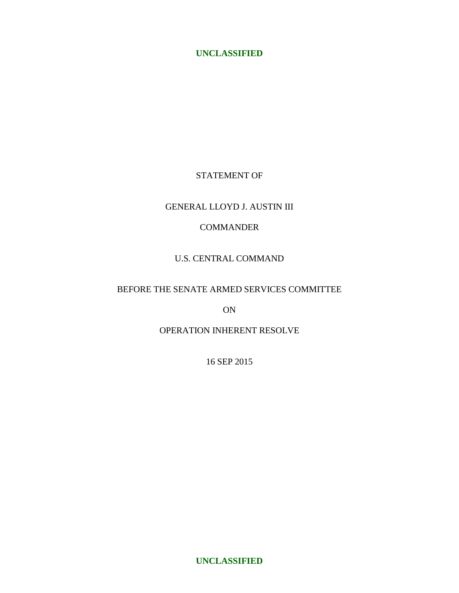# STATEMENT OF

# GENERAL LLOYD J. AUSTIN III

# COMMANDER

# U.S. CENTRAL COMMAND

# BEFORE THE SENATE ARMED SERVICES COMMITTEE

ON

# OPERATION INHERENT RESOLVE

16 SEP 2015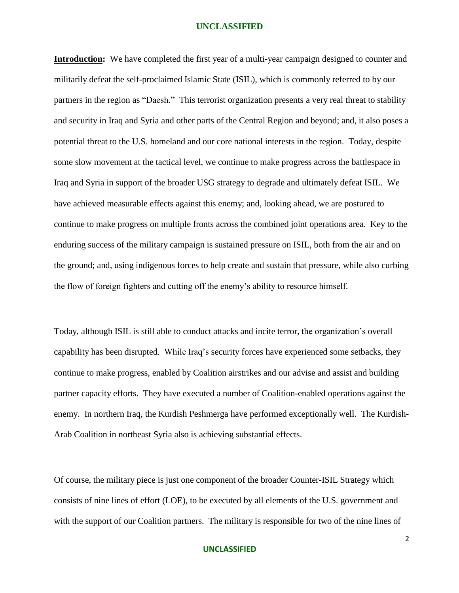**Introduction:** We have completed the first year of a multi-year campaign designed to counter and militarily defeat the self-proclaimed Islamic State (ISIL), which is commonly referred to by our partners in the region as "Daesh." This terrorist organization presents a very real threat to stability and security in Iraq and Syria and other parts of the Central Region and beyond; and, it also poses a potential threat to the U.S. homeland and our core national interests in the region. Today, despite some slow movement at the tactical level, we continue to make progress across the battlespace in Iraq and Syria in support of the broader USG strategy to degrade and ultimately defeat ISIL. We have achieved measurable effects against this enemy; and, looking ahead, we are postured to continue to make progress on multiple fronts across the combined joint operations area. Key to the enduring success of the military campaign is sustained pressure on ISIL, both from the air and on the ground; and, using indigenous forces to help create and sustain that pressure, while also curbing the flow of foreign fighters and cutting off the enemy's ability to resource himself.

Today, although ISIL is still able to conduct attacks and incite terror, the organization's overall capability has been disrupted. While Iraq's security forces have experienced some setbacks, they continue to make progress, enabled by Coalition airstrikes and our advise and assist and building partner capacity efforts. They have executed a number of Coalition-enabled operations against the enemy. In northern Iraq, the Kurdish Peshmerga have performed exceptionally well. The Kurdish-Arab Coalition in northeast Syria also is achieving substantial effects.

Of course, the military piece is just one component of the broader Counter-ISIL Strategy which consists of nine lines of effort (LOE), to be executed by all elements of the U.S. government and with the support of our Coalition partners. The military is responsible for two of the nine lines of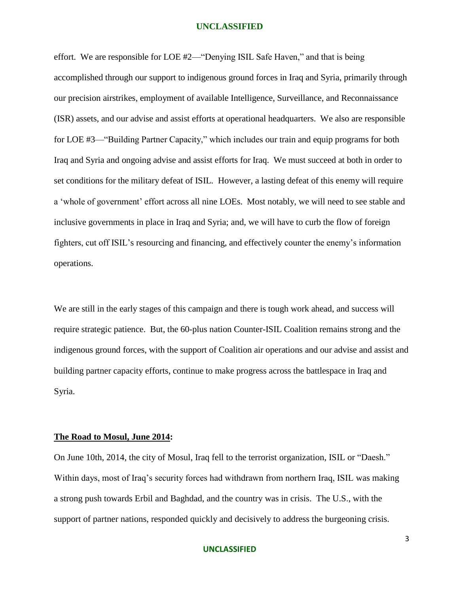effort. We are responsible for LOE #2—"Denying ISIL Safe Haven," and that is being accomplished through our support to indigenous ground forces in Iraq and Syria, primarily through our precision airstrikes, employment of available Intelligence, Surveillance, and Reconnaissance (ISR) assets, and our advise and assist efforts at operational headquarters. We also are responsible for LOE #3—"Building Partner Capacity," which includes our train and equip programs for both Iraq and Syria and ongoing advise and assist efforts for Iraq. We must succeed at both in order to set conditions for the military defeat of ISIL. However, a lasting defeat of this enemy will require a 'whole of government' effort across all nine LOEs. Most notably, we will need to see stable and inclusive governments in place in Iraq and Syria; and, we will have to curb the flow of foreign fighters, cut off ISIL's resourcing and financing, and effectively counter the enemy's information operations.

We are still in the early stages of this campaign and there is tough work ahead, and success will require strategic patience. But, the 60-plus nation Counter-ISIL Coalition remains strong and the indigenous ground forces, with the support of Coalition air operations and our advise and assist and building partner capacity efforts, continue to make progress across the battlespace in Iraq and Syria.

# **The Road to Mosul, June 2014:**

On June 10th, 2014, the city of Mosul, Iraq fell to the terrorist organization, ISIL or "Daesh." Within days, most of Iraq's security forces had withdrawn from northern Iraq, ISIL was making a strong push towards Erbil and Baghdad, and the country was in crisis. The U.S., with the support of partner nations, responded quickly and decisively to address the burgeoning crisis.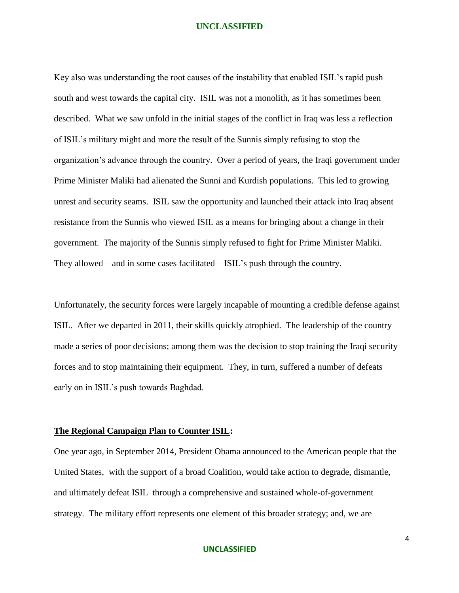Key also was understanding the root causes of the instability that enabled ISIL's rapid push south and west towards the capital city. ISIL was not a monolith, as it has sometimes been described. What we saw unfold in the initial stages of the conflict in Iraq was less a reflection of ISIL's military might and more the result of the Sunnis simply refusing to stop the organization's advance through the country. Over a period of years, the Iraqi government under Prime Minister Maliki had alienated the Sunni and Kurdish populations. This led to growing unrest and security seams. ISIL saw the opportunity and launched their attack into Iraq absent resistance from the Sunnis who viewed ISIL as a means for bringing about a change in their government. The majority of the Sunnis simply refused to fight for Prime Minister Maliki. They allowed – and in some cases facilitated – ISIL's push through the country.

Unfortunately, the security forces were largely incapable of mounting a credible defense against ISIL. After we departed in 2011, their skills quickly atrophied. The leadership of the country made a series of poor decisions; among them was the decision to stop training the Iraqi security forces and to stop maintaining their equipment. They, in turn, suffered a number of defeats early on in ISIL's push towards Baghdad.

# **The Regional Campaign Plan to Counter ISIL:**

One year ago, in September 2014, President Obama announced to the American people that the United States, with the support of a broad Coalition, would take action to degrade, dismantle, and ultimately defeat ISIL through a comprehensive and sustained whole-of-government strategy. The military effort represents one element of this broader strategy; and, we are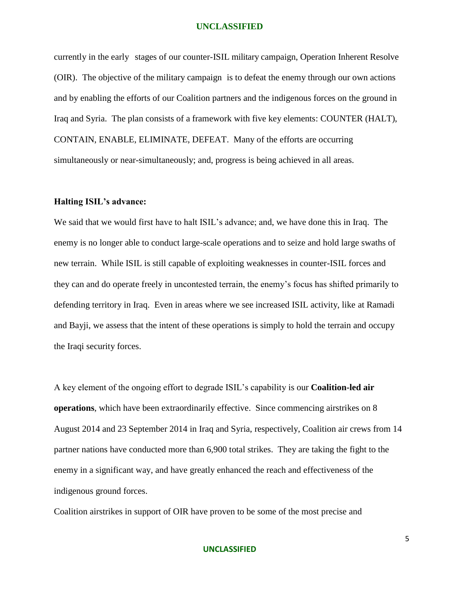currently in the early stages of our counter-ISIL military campaign, Operation Inherent Resolve (OIR). The objective of the military campaign is to defeat the enemy through our own actions and by enabling the efforts of our Coalition partners and the indigenous forces on the ground in Iraq and Syria. The plan consists of a framework with five key elements: COUNTER (HALT), CONTAIN, ENABLE, ELIMINATE, DEFEAT. Many of the efforts are occurring simultaneously or near-simultaneously; and, progress is being achieved in all areas.

# **Halting ISIL's advance:**

We said that we would first have to halt ISIL's advance; and, we have done this in Iraq. The enemy is no longer able to conduct large-scale operations and to seize and hold large swaths of new terrain. While ISIL is still capable of exploiting weaknesses in counter-ISIL forces and they can and do operate freely in uncontested terrain, the enemy's focus has shifted primarily to defending territory in Iraq. Even in areas where we see increased ISIL activity, like at Ramadi and Bayji, we assess that the intent of these operations is simply to hold the terrain and occupy the Iraqi security forces.

A key element of the ongoing effort to degrade ISIL's capability is our **Coalition-led air operations**, which have been extraordinarily effective. Since commencing airstrikes on 8 August 2014 and 23 September 2014 in Iraq and Syria, respectively, Coalition air crews from 14 partner nations have conducted more than 6,900 total strikes. They are taking the fight to the enemy in a significant way, and have greatly enhanced the reach and effectiveness of the indigenous ground forces.

Coalition airstrikes in support of OIR have proven to be some of the most precise and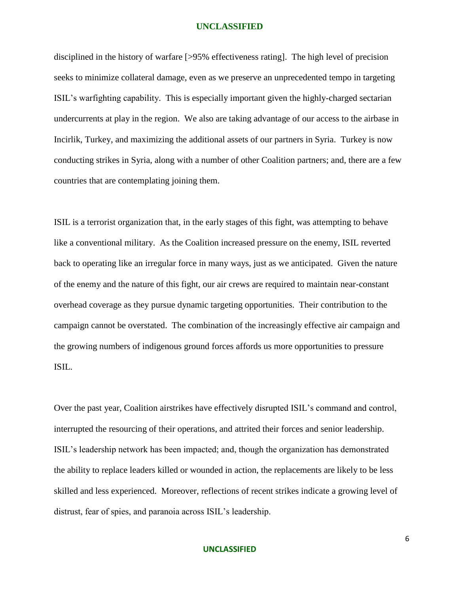disciplined in the history of warfare [>95% effectiveness rating]. The high level of precision seeks to minimize collateral damage, even as we preserve an unprecedented tempo in targeting ISIL's warfighting capability. This is especially important given the highly-charged sectarian undercurrents at play in the region. We also are taking advantage of our access to the airbase in Incirlik, Turkey, and maximizing the additional assets of our partners in Syria. Turkey is now conducting strikes in Syria, along with a number of other Coalition partners; and, there are a few countries that are contemplating joining them.

ISIL is a terrorist organization that, in the early stages of this fight, was attempting to behave like a conventional military. As the Coalition increased pressure on the enemy, ISIL reverted back to operating like an irregular force in many ways, just as we anticipated. Given the nature of the enemy and the nature of this fight, our air crews are required to maintain near-constant overhead coverage as they pursue dynamic targeting opportunities. Their contribution to the campaign cannot be overstated. The combination of the increasingly effective air campaign and the growing numbers of indigenous ground forces affords us more opportunities to pressure ISIL.

Over the past year, Coalition airstrikes have effectively disrupted ISIL's command and control, interrupted the resourcing of their operations, and attrited their forces and senior leadership. ISIL's leadership network has been impacted; and, though the organization has demonstrated the ability to replace leaders killed or wounded in action, the replacements are likely to be less skilled and less experienced. Moreover, reflections of recent strikes indicate a growing level of distrust, fear of spies, and paranoia across ISIL's leadership.

# **UNCLASSIFIED**

6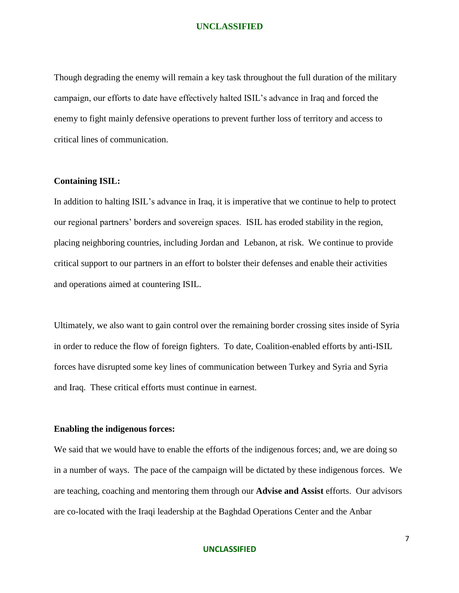Though degrading the enemy will remain a key task throughout the full duration of the military campaign, our efforts to date have effectively halted ISIL's advance in Iraq and forced the enemy to fight mainly defensive operations to prevent further loss of territory and access to critical lines of communication.

# **Containing ISIL:**

In addition to halting ISIL's advance in Iraq, it is imperative that we continue to help to protect our regional partners' borders and sovereign spaces. ISIL has eroded stability in the region, placing neighboring countries, including Jordan and Lebanon, at risk. We continue to provide critical support to our partners in an effort to bolster their defenses and enable their activities and operations aimed at countering ISIL.

Ultimately, we also want to gain control over the remaining border crossing sites inside of Syria in order to reduce the flow of foreign fighters. To date, Coalition-enabled efforts by anti-ISIL forces have disrupted some key lines of communication between Turkey and Syria and Syria and Iraq. These critical efforts must continue in earnest.

# **Enabling the indigenous forces:**

We said that we would have to enable the efforts of the indigenous forces; and, we are doing so in a number of ways. The pace of the campaign will be dictated by these indigenous forces. We are teaching, coaching and mentoring them through our **Advise and Assist** efforts. Our advisors are co-located with the Iraqi leadership at the Baghdad Operations Center and the Anbar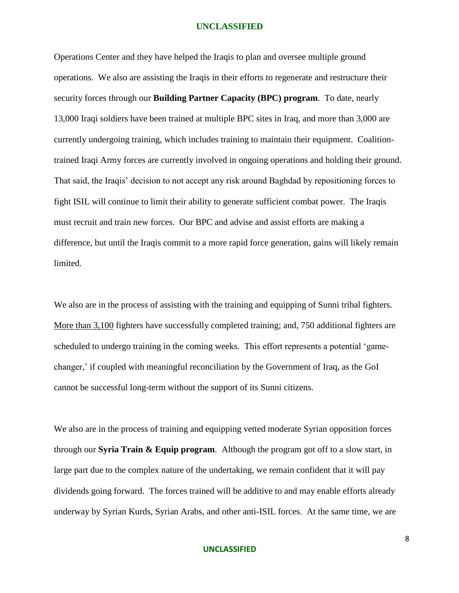Operations Center and they have helped the Iraqis to plan and oversee multiple ground operations. We also are assisting the Iraqis in their efforts to regenerate and restructure their security forces through our **Building Partner Capacity (BPC) program**. To date, nearly 13,000 Iraqi soldiers have been trained at multiple BPC sites in Iraq, and more than 3,000 are currently undergoing training, which includes training to maintain their equipment. Coalitiontrained Iraqi Army forces are currently involved in ongoing operations and holding their ground. That said, the Iraqis' decision to not accept any risk around Baghdad by repositioning forces to fight ISIL will continue to limit their ability to generate sufficient combat power. The Iraqis must recruit and train new forces. Our BPC and advise and assist efforts are making a difference, but until the Iraqis commit to a more rapid force generation, gains will likely remain limited.

We also are in the process of assisting with the training and equipping of Sunni tribal fighters. More than 3,100 fighters have successfully completed training; and, 750 additional fighters are scheduled to undergo training in the coming weeks. This effort represents a potential 'gamechanger,' if coupled with meaningful reconciliation by the Government of Iraq, as the GoI cannot be successful long-term without the support of its Sunni citizens.

We also are in the process of training and equipping vetted moderate Syrian opposition forces through our **Syria Train & Equip program**. Although the program got off to a slow start, in large part due to the complex nature of the undertaking, we remain confident that it will pay dividends going forward. The forces trained will be additive to and may enable efforts already underway by Syrian Kurds, Syrian Arabs, and other anti-ISIL forces. At the same time, we are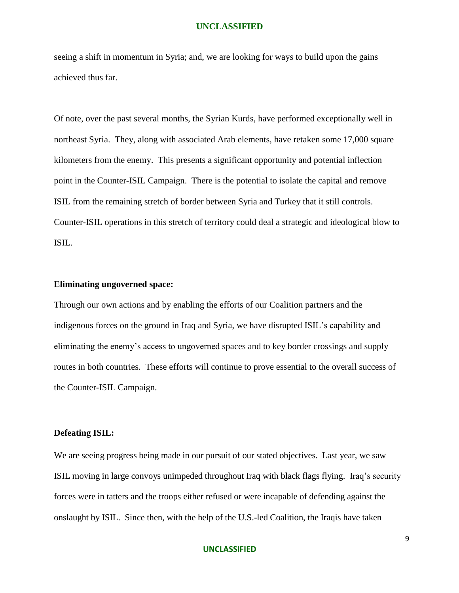seeing a shift in momentum in Syria; and, we are looking for ways to build upon the gains achieved thus far.

Of note, over the past several months, the Syrian Kurds, have performed exceptionally well in northeast Syria. They, along with associated Arab elements, have retaken some 17,000 square kilometers from the enemy. This presents a significant opportunity and potential inflection point in the Counter-ISIL Campaign. There is the potential to isolate the capital and remove ISIL from the remaining stretch of border between Syria and Turkey that it still controls. Counter-ISIL operations in this stretch of territory could deal a strategic and ideological blow to ISIL.

# **Eliminating ungoverned space:**

Through our own actions and by enabling the efforts of our Coalition partners and the indigenous forces on the ground in Iraq and Syria, we have disrupted ISIL's capability and eliminating the enemy's access to ungoverned spaces and to key border crossings and supply routes in both countries. These efforts will continue to prove essential to the overall success of the Counter-ISIL Campaign.

# **Defeating ISIL:**

We are seeing progress being made in our pursuit of our stated objectives. Last year, we saw ISIL moving in large convoys unimpeded throughout Iraq with black flags flying. Iraq's security forces were in tatters and the troops either refused or were incapable of defending against the onslaught by ISIL. Since then, with the help of the U.S.-led Coalition, the Iraqis have taken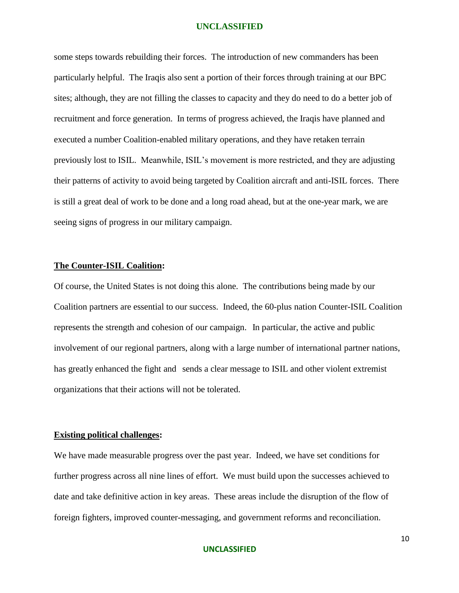some steps towards rebuilding their forces. The introduction of new commanders has been particularly helpful. The Iraqis also sent a portion of their forces through training at our BPC sites; although, they are not filling the classes to capacity and they do need to do a better job of recruitment and force generation. In terms of progress achieved, the Iraqis have planned and executed a number Coalition-enabled military operations, and they have retaken terrain previously lost to ISIL. Meanwhile, ISIL's movement is more restricted, and they are adjusting their patterns of activity to avoid being targeted by Coalition aircraft and anti-ISIL forces. There is still a great deal of work to be done and a long road ahead, but at the one-year mark, we are seeing signs of progress in our military campaign.

## **The Counter-ISIL Coalition:**

Of course, the United States is not doing this alone. The contributions being made by our Coalition partners are essential to our success. Indeed, the 60-plus nation Counter-ISIL Coalition represents the strength and cohesion of our campaign. In particular, the active and public involvement of our regional partners, along with a large number of international partner nations, has greatly enhanced the fight and sends a clear message to ISIL and other violent extremist organizations that their actions will not be tolerated.

# **Existing political challenges:**

We have made measurable progress over the past year. Indeed, we have set conditions for further progress across all nine lines of effort. We must build upon the successes achieved to date and take definitive action in key areas. These areas include the disruption of the flow of foreign fighters, improved counter-messaging, and government reforms and reconciliation.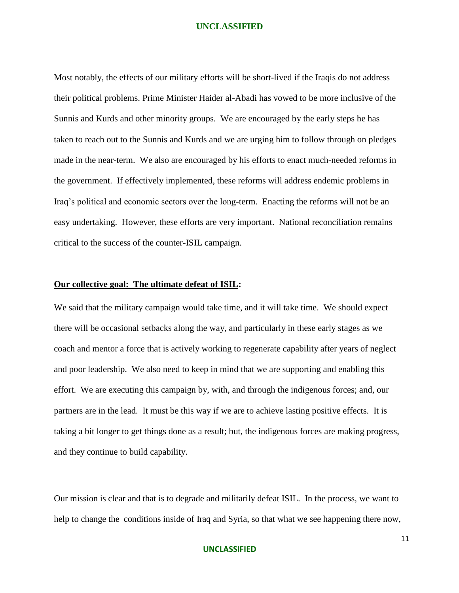Most notably, the effects of our military efforts will be short-lived if the Iraqis do not address their political problems. Prime Minister Haider al-Abadi has vowed to be more inclusive of the Sunnis and Kurds and other minority groups. We are encouraged by the early steps he has taken to reach out to the Sunnis and Kurds and we are urging him to follow through on pledges made in the near-term. We also are encouraged by his efforts to enact much-needed reforms in the government. If effectively implemented, these reforms will address endemic problems in Iraq's political and economic sectors over the long-term. Enacting the reforms will not be an easy undertaking. However, these efforts are very important. National reconciliation remains critical to the success of the counter-ISIL campaign.

# **Our collective goal: The ultimate defeat of ISIL:**

We said that the military campaign would take time, and it will take time. We should expect there will be occasional setbacks along the way, and particularly in these early stages as we coach and mentor a force that is actively working to regenerate capability after years of neglect and poor leadership. We also need to keep in mind that we are supporting and enabling this effort. We are executing this campaign by, with, and through the indigenous forces; and, our partners are in the lead. It must be this way if we are to achieve lasting positive effects. It is taking a bit longer to get things done as a result; but, the indigenous forces are making progress, and they continue to build capability.

Our mission is clear and that is to degrade and militarily defeat ISIL. In the process, we want to help to change the conditions inside of Iraq and Syria, so that what we see happening there now,